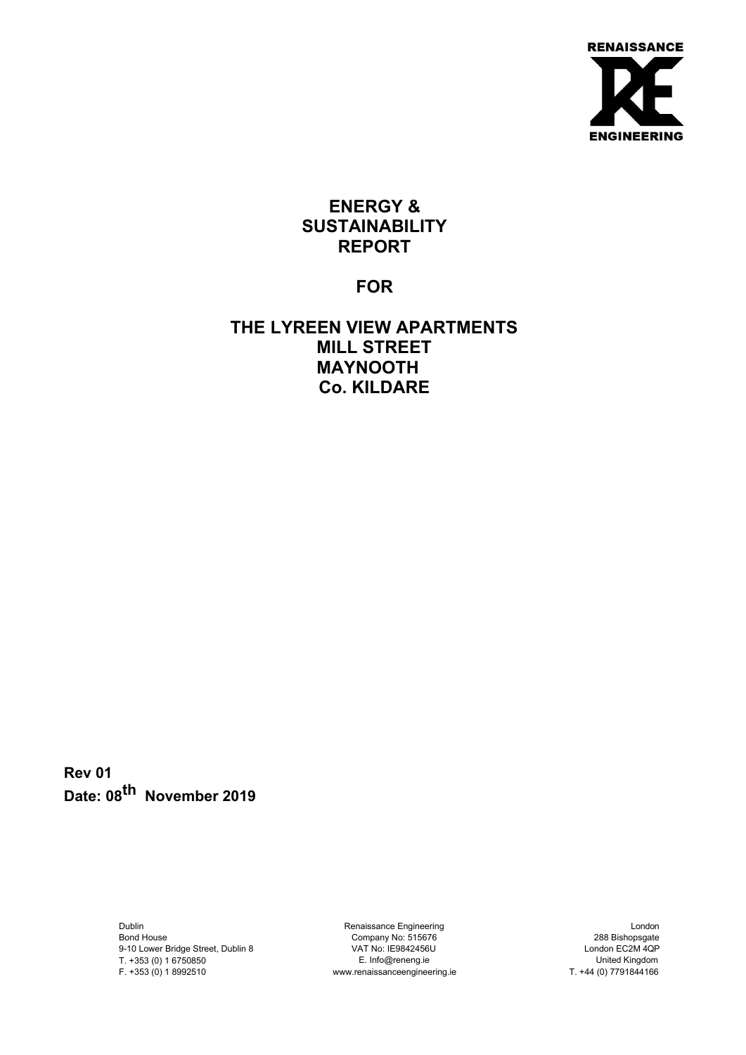

# **ENERGY & SUSTAINABILITY REPORT**

**FOR** 

# **THE LYREEN VIEW APARTMENTS MILL STREET MAYNOOTH Co. KILDARE**

**Rev 01 Date: 08th November 2019** 

> Dublin Bond House 9-10 Lower Bridge Street, Dublin 8 T. +353 (0) 1 6750850

F. +353 (0) 1 8992510 www.renaissanceengineering.ie T. +44 (0) 7791844166 Renaissance Engineering Company No: 515676 VAT No: IE9842456U E. Info@reneng.ie

London 288 Bishopsgate London EC2M 4QP United Kingdom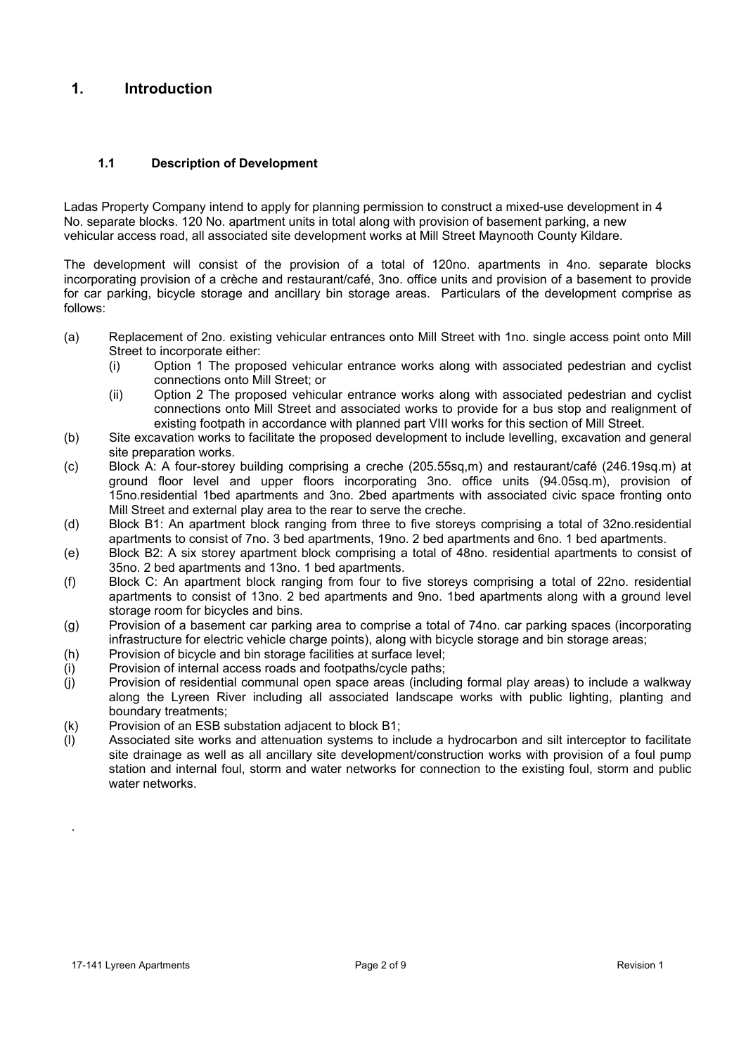## **1. Introduction**

## **1.1 Description of Development**

Ladas Property Company intend to apply for planning permission to construct a mixed-use development in 4 No. separate blocks. 120 No. apartment units in total along with provision of basement parking, a new vehicular access road, all associated site development works at Mill Street Maynooth County Kildare.

The development will consist of the provision of a total of 120no. apartments in 4no. separate blocks incorporating provision of a crèche and restaurant/café, 3no. office units and provision of a basement to provide for car parking, bicycle storage and ancillary bin storage areas. Particulars of the development comprise as follows:

- (a) Replacement of 2no. existing vehicular entrances onto Mill Street with 1no. single access point onto Mill Street to incorporate either:
	- (i) Option 1 The proposed vehicular entrance works along with associated pedestrian and cyclist connections onto Mill Street; or
	- (ii) Option 2 The proposed vehicular entrance works along with associated pedestrian and cyclist connections onto Mill Street and associated works to provide for a bus stop and realignment of existing footpath in accordance with planned part VIII works for this section of Mill Street.
- (b) Site excavation works to facilitate the proposed development to include levelling, excavation and general site preparation works.
- (c) Block A: A four-storey building comprising a creche (205.55sq,m) and restaurant/café (246.19sq.m) at ground floor level and upper floors incorporating 3no. office units (94.05sq.m), provision of 15no.residential 1bed apartments and 3no. 2bed apartments with associated civic space fronting onto Mill Street and external play area to the rear to serve the creche.
- (d) Block B1: An apartment block ranging from three to five storeys comprising a total of 32no.residential apartments to consist of 7no. 3 bed apartments, 19no. 2 bed apartments and 6no. 1 bed apartments.
- (e) Block B2: A six storey apartment block comprising a total of 48no. residential apartments to consist of 35no. 2 bed apartments and 13no. 1 bed apartments.
- (f) Block C: An apartment block ranging from four to five storeys comprising a total of 22no. residential apartments to consist of 13no. 2 bed apartments and 9no. 1bed apartments along with a ground level storage room for bicycles and bins.
- (g) Provision of a basement car parking area to comprise a total of 74no. car parking spaces (incorporating infrastructure for electric vehicle charge points), along with bicycle storage and bin storage areas;
- (h) Provision of bicycle and bin storage facilities at surface level;
- (i) Provision of internal access roads and footpaths/cycle paths;
- (j) Provision of residential communal open space areas (including formal play areas) to include a walkway along the Lyreen River including all associated landscape works with public lighting, planting and boundary treatments;
- (k) Provision of an ESB substation adjacent to block B1;
- (l) Associated site works and attenuation systems to include a hydrocarbon and silt interceptor to facilitate site drainage as well as all ancillary site development/construction works with provision of a foul pump station and internal foul, storm and water networks for connection to the existing foul, storm and public water networks.

.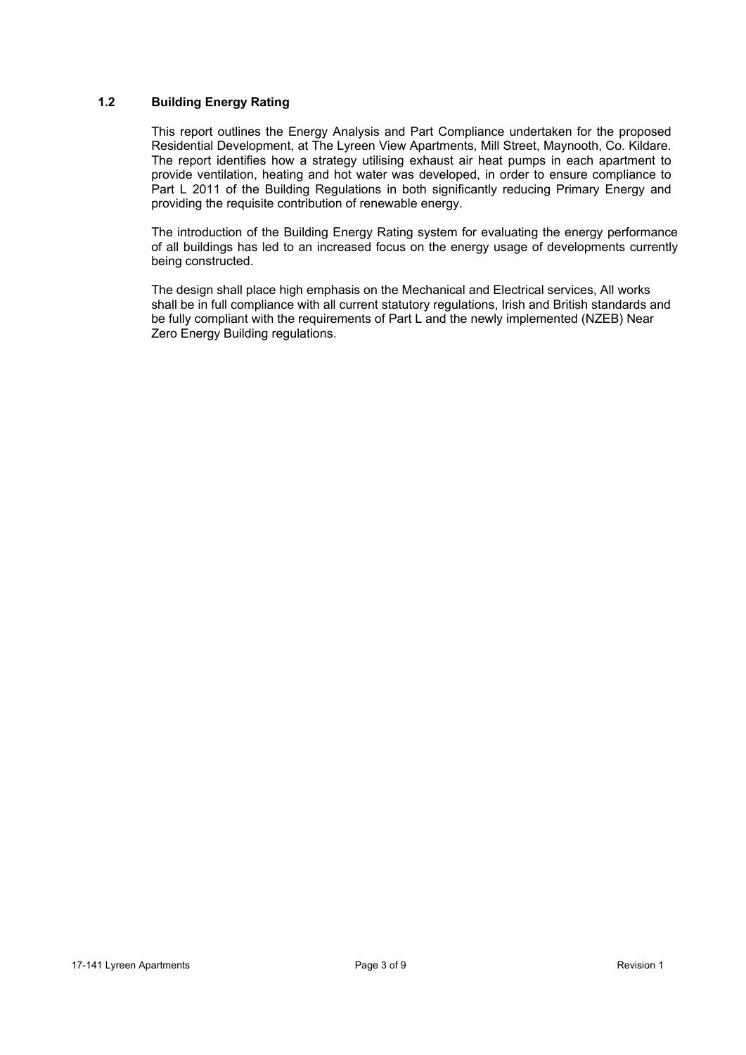## **1.2 Building Energy Rating**

This report outlines the Energy Analysis and Part Compliance undertaken for the proposed Residential Development, at The Lyreen View Apartments, Mill Street, Maynooth, Co. Kildare. The report identifies how a strategy utilising exhaust air heat pumps in each apartment to provide ventilation, heating and hot water was developed, in order to ensure compliance to Part L 2011 of the Building Regulations in both significantly reducing Primary Energy and providing the requisite contribution of renewable energy.

The introduction of the Building Energy Rating system for evaluating the energy performance of all buildings has led to an increased focus on the energy usage of developments currently being constructed.

The design shall place high emphasis on the Mechanical and Electrical services, All works shall be in full compliance with all current statutory regulations, Irish and British standards and be fully compliant with the requirements of Part L and the newly implemented (NZEB) Near Zero Energy Building regulations.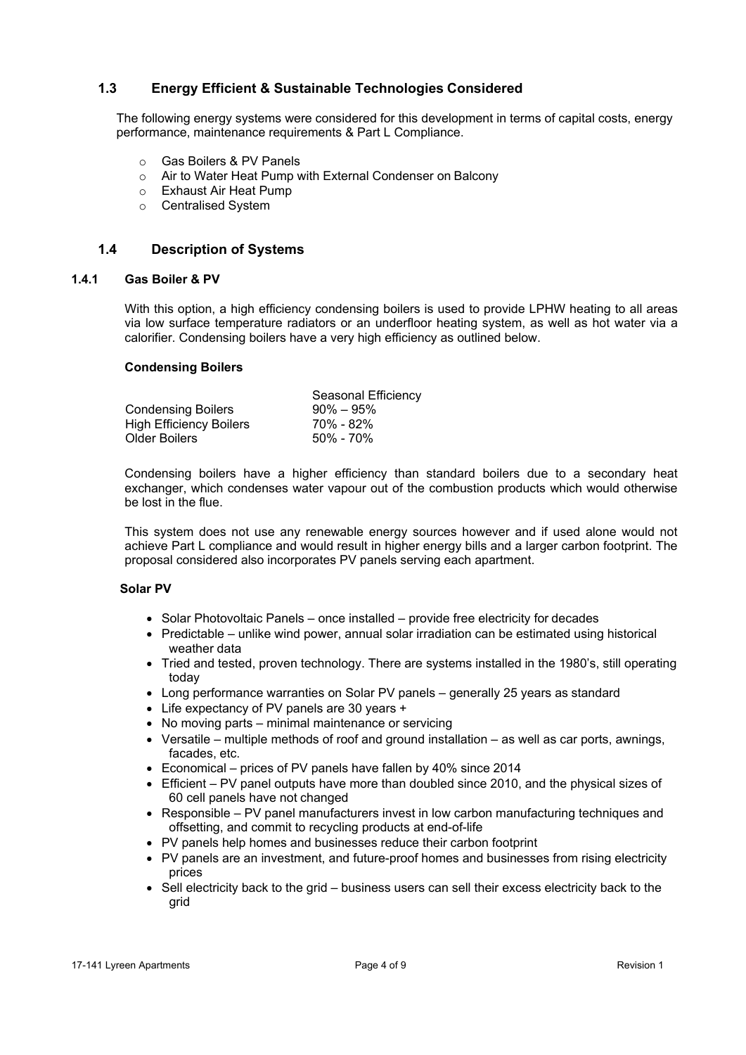## **1.3 Energy Efficient & Sustainable Technologies Considered**

The following energy systems were considered for this development in terms of capital costs, energy performance, maintenance requirements & Part L Compliance.

- o Gas Boilers & PV Panels
- o Air to Water Heat Pump with External Condenser on Balcony
- o Exhaust Air Heat Pump
- o Centralised System

## **1.4 Description of Systems**

#### **1.4.1 Gas Boiler & PV**

With this option, a high efficiency condensing boilers is used to provide LPHW heating to all areas via low surface temperature radiators or an underfloor heating system, as well as hot water via a calorifier. Condensing boilers have a very high efficiency as outlined below.

#### **Condensing Boilers**

|                                | Seasonal Efficiency |
|--------------------------------|---------------------|
| <b>Condensing Boilers</b>      | $90\% - 95\%$       |
| <b>High Efficiency Boilers</b> | 70% - 82%           |
| Older Boilers                  | $50\% - 70\%$       |

Condensing boilers have a higher efficiency than standard boilers due to a secondary heat exchanger, which condenses water vapour out of the combustion products which would otherwise be lost in the flue.

This system does not use any renewable energy sources however and if used alone would not achieve Part L compliance and would result in higher energy bills and a larger carbon footprint. The proposal considered also incorporates PV panels serving each apartment.

#### **Solar PV**

- Solar Photovoltaic Panels once installed provide free electricity for decades
- Predictable unlike wind power, annual solar irradiation can be estimated using historical weather data
- Tried and tested, proven technology. There are systems installed in the 1980's, still operating today
- Long performance warranties on Solar PV panels generally 25 years as standard
- Life expectancy of PV panels are 30 years +
- No moving parts minimal maintenance or servicing
- Versatile multiple methods of roof and ground installation as well as car ports, awnings, facades, etc.
- Economical prices of PV panels have fallen by 40% since 2014
- Efficient PV panel outputs have more than doubled since 2010, and the physical sizes of 60 cell panels have not changed
- Responsible PV panel manufacturers invest in low carbon manufacturing techniques and offsetting, and commit to recycling products at end-of-life
- PV panels help homes and businesses reduce their carbon footprint
- PV panels are an investment, and future-proof homes and businesses from rising electricity prices
- Sell electricity back to the grid business users can sell their excess electricity back to the grid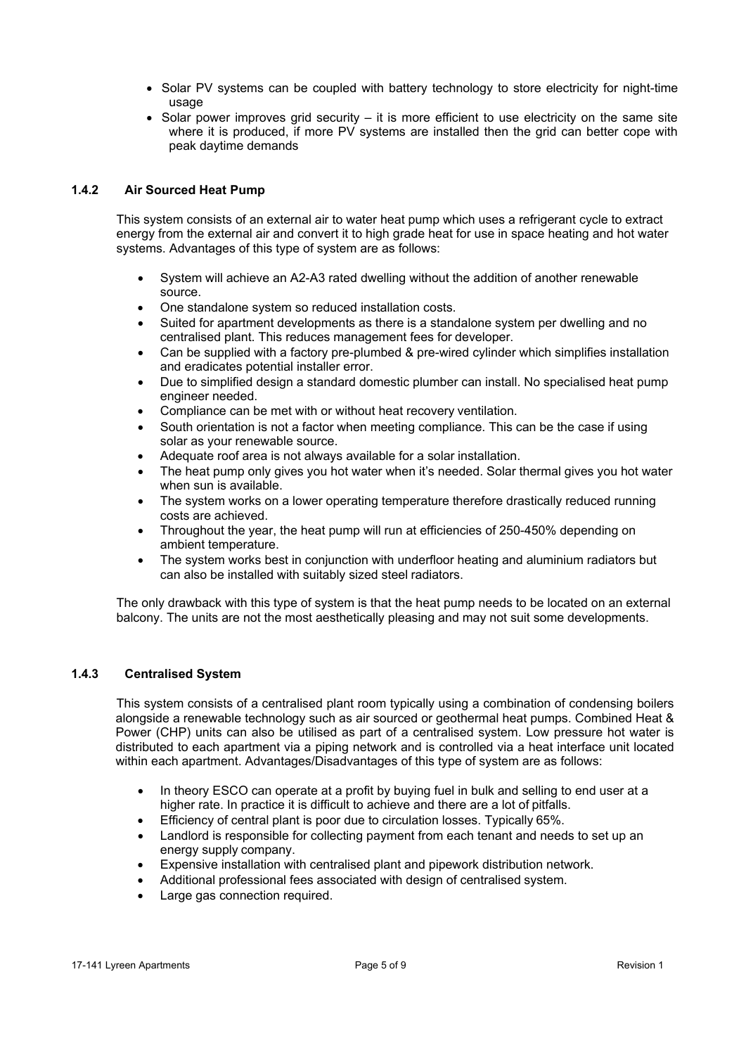- Solar PV systems can be coupled with battery technology to store electricity for night-time usage
- $\bullet$  Solar power improves grid security it is more efficient to use electricity on the same site where it is produced, if more PV systems are installed then the grid can better cope with peak daytime demands

## **1.4.2 Air Sourced Heat Pump**

This system consists of an external air to water heat pump which uses a refrigerant cycle to extract energy from the external air and convert it to high grade heat for use in space heating and hot water systems. Advantages of this type of system are as follows:

- System will achieve an A2-A3 rated dwelling without the addition of another renewable source.
- One standalone system so reduced installation costs.
- Suited for apartment developments as there is a standalone system per dwelling and no centralised plant. This reduces management fees for developer.
- Can be supplied with a factory pre-plumbed & pre-wired cylinder which simplifies installation and eradicates potential installer error.
- Due to simplified design a standard domestic plumber can install. No specialised heat pump engineer needed.
- Compliance can be met with or without heat recovery ventilation.
- South orientation is not a factor when meeting compliance. This can be the case if using solar as your renewable source.
- Adequate roof area is not always available for a solar installation.
- The heat pump only gives you hot water when it's needed. Solar thermal gives you hot water when sun is available.
- The system works on a lower operating temperature therefore drastically reduced running costs are achieved.
- Throughout the year, the heat pump will run at efficiencies of 250-450% depending on ambient temperature.
- The system works best in conjunction with underfloor heating and aluminium radiators but can also be installed with suitably sized steel radiators.

The only drawback with this type of system is that the heat pump needs to be located on an external balcony. The units are not the most aesthetically pleasing and may not suit some developments.

### **1.4.3 Centralised System**

This system consists of a centralised plant room typically using a combination of condensing boilers alongside a renewable technology such as air sourced or geothermal heat pumps. Combined Heat & Power (CHP) units can also be utilised as part of a centralised system. Low pressure hot water is distributed to each apartment via a piping network and is controlled via a heat interface unit located within each apartment. Advantages/Disadvantages of this type of system are as follows:

- In theory ESCO can operate at a profit by buying fuel in bulk and selling to end user at a higher rate. In practice it is difficult to achieve and there are a lot of pitfalls.
- Efficiency of central plant is poor due to circulation losses. Typically 65%.
- Landlord is responsible for collecting payment from each tenant and needs to set up an energy supply company.
- Expensive installation with centralised plant and pipework distribution network.
- Additional professional fees associated with design of centralised system.
- Large gas connection required.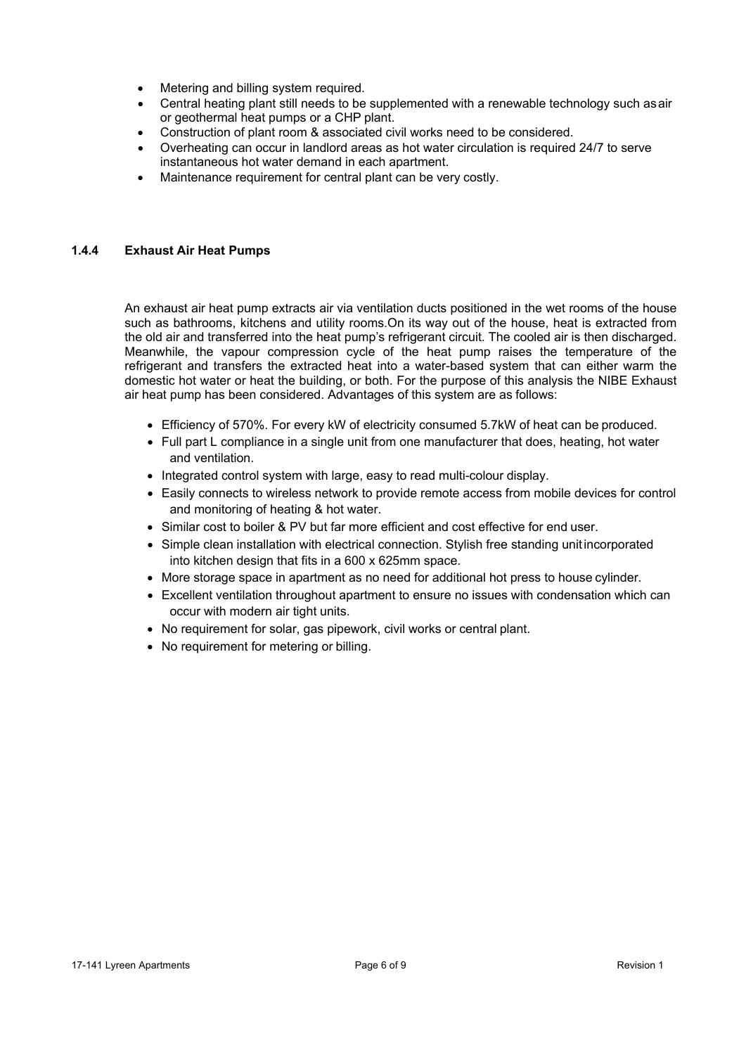- Metering and billing system required.
- Central heating plant still needs to be supplemented with a renewable technology such as air or geothermal heat pumps or a CHP plant.
- Construction of plant room & associated civil works need to be considered.
- Overheating can occur in landlord areas as hot water circulation is required 24/7 to serve instantaneous hot water demand in each apartment.
- Maintenance requirement for central plant can be very costly.

## **1.4.4 Exhaust Air Heat Pumps**

An exhaust air heat pump extracts air via ventilation ducts positioned in the wet rooms of the house such as bathrooms, kitchens and utility rooms.On its way out of the house, heat is extracted from the old air and transferred into the heat pump's refrigerant circuit. The cooled air is then discharged. Meanwhile, the vapour compression cycle of the heat pump raises the temperature of the refrigerant and transfers the extracted heat into a water-based system that can either warm the domestic hot water or heat the building, or both. For the purpose of this analysis the NIBE Exhaust air heat pump has been considered. Advantages of this system are as follows:

- Efficiency of 570%. For every kW of electricity consumed 5.7kW of heat can be produced.
- Full part L compliance in a single unit from one manufacturer that does, heating, hot water and ventilation.
- Integrated control system with large, easy to read multi-colour display.
- Easily connects to wireless network to provide remote access from mobile devices for control and monitoring of heating & hot water.
- Similar cost to boiler & PV but far more efficient and cost effective for end user.
- Simple clean installation with electrical connection. Stylish free standing unit incorporated into kitchen design that fits in a 600 x 625mm space.
- More storage space in apartment as no need for additional hot press to house cylinder.
- Excellent ventilation throughout apartment to ensure no issues with condensation which can occur with modern air tight units.
- No requirement for solar, gas pipework, civil works or central plant.
- No requirement for metering or billing.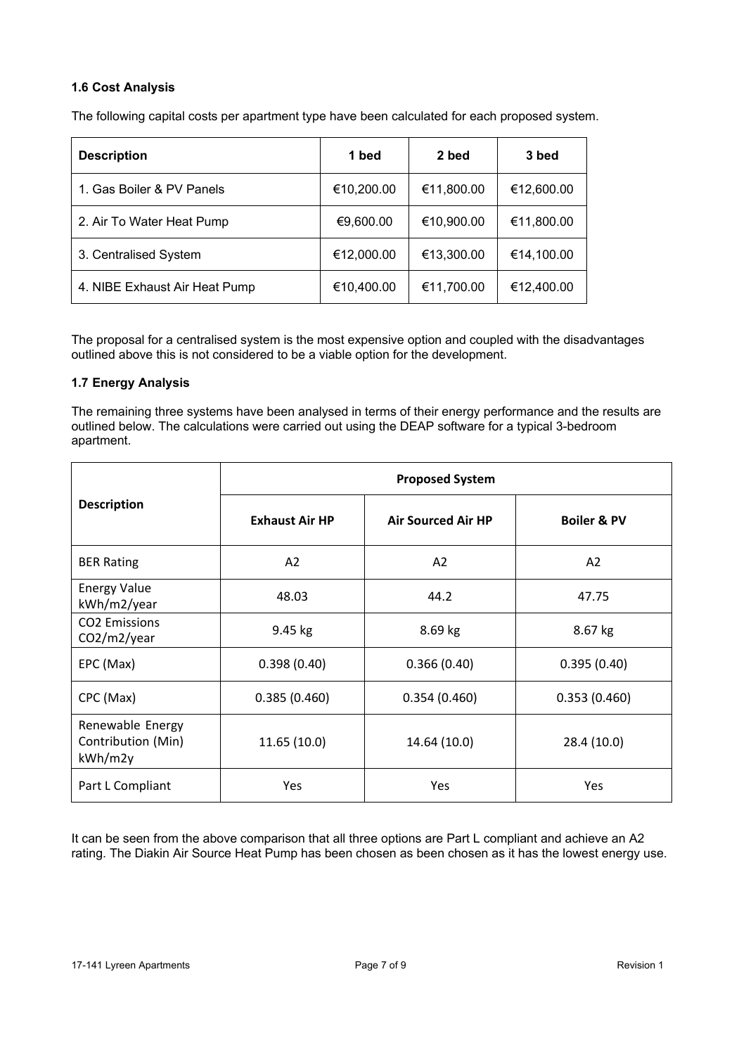## **1.6 Cost Analysis**

The following capital costs per apartment type have been calculated for each proposed system.

| <b>Description</b>            | 1 bed      | 2 bed      | 3 bed      |
|-------------------------------|------------|------------|------------|
| 1. Gas Boiler & PV Panels     | €10,200.00 | €11,800.00 | €12,600.00 |
| 2. Air To Water Heat Pump     | €9,600.00  | €10,900.00 | €11,800.00 |
| 3. Centralised System         | €12,000.00 | €13,300.00 | €14,100.00 |
| 4. NIBE Exhaust Air Heat Pump | €10,400.00 | €11,700.00 | €12,400.00 |

The proposal for a centralised system is the most expensive option and coupled with the disadvantages outlined above this is not considered to be a viable option for the development.

## **1.7 Energy Analysis**

The remaining three systems have been analysed in terms of their energy performance and the results are outlined below. The calculations were carried out using the DEAP software for a typical 3-bedroom apartment.

| <b>Description</b>                                | <b>Proposed System</b> |                           |                        |  |
|---------------------------------------------------|------------------------|---------------------------|------------------------|--|
|                                                   | <b>Exhaust Air HP</b>  | <b>Air Sourced Air HP</b> | <b>Boiler &amp; PV</b> |  |
| <b>BER Rating</b>                                 | A2                     | A2                        | A2                     |  |
| <b>Energy Value</b><br>kWh/m2/year                | 48.03                  | 44.2                      | 47.75                  |  |
| <b>CO2 Emissions</b><br>CO2/m2/year               | 9.45 kg                | 8.69 kg                   | 8.67 kg                |  |
| EPC (Max)                                         | 0.398(0.40)            | 0.366(0.40)               | 0.395(0.40)            |  |
| CPC (Max)                                         | 0.385(0.460)           | 0.354(0.460)              | 0.353(0.460)           |  |
| Renewable Energy<br>Contribution (Min)<br>kWh/m2y | 11.65 (10.0)           | 14.64 (10.0)              | 28.4 (10.0)            |  |
| Part L Compliant                                  | Yes                    | Yes                       | Yes                    |  |

It can be seen from the above comparison that all three options are Part L compliant and achieve an A2 rating. The Diakin Air Source Heat Pump has been chosen as been chosen as it has the lowest energy use.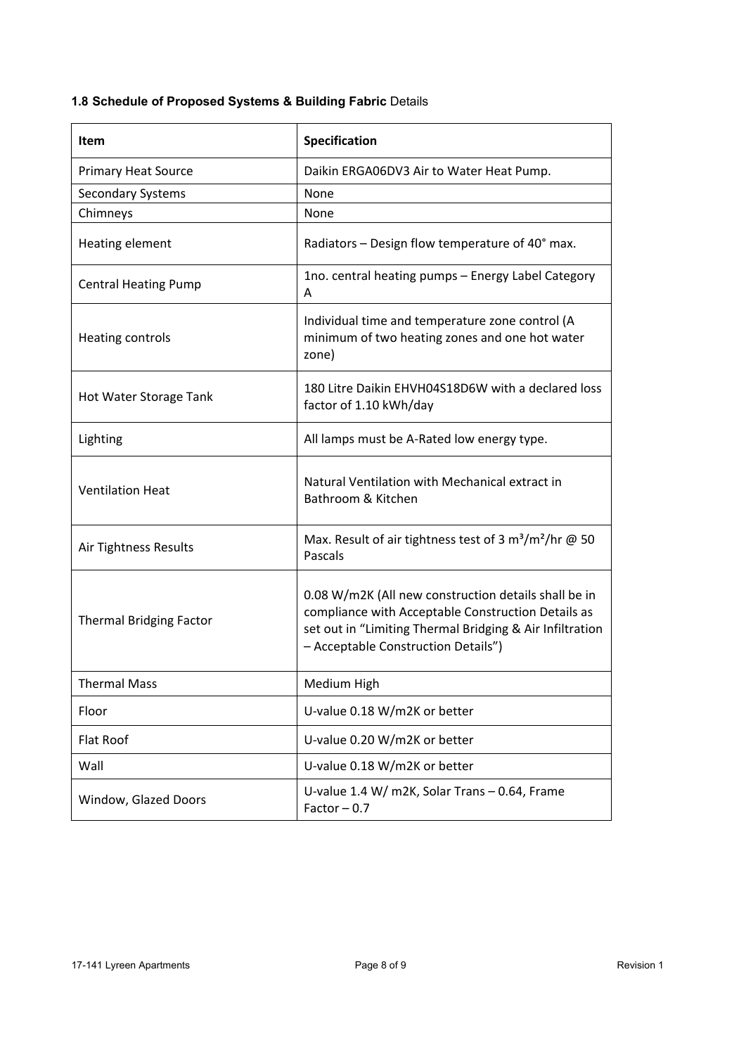## **1.8 Schedule of Proposed Systems & Building Fabric** Details

| <b>Item</b>                    | Specification                                                                                                                                                                                                 |  |
|--------------------------------|---------------------------------------------------------------------------------------------------------------------------------------------------------------------------------------------------------------|--|
| <b>Primary Heat Source</b>     | Daikin ERGA06DV3 Air to Water Heat Pump.                                                                                                                                                                      |  |
| <b>Secondary Systems</b>       | None                                                                                                                                                                                                          |  |
| Chimneys                       | None                                                                                                                                                                                                          |  |
| Heating element                | Radiators - Design flow temperature of 40° max.                                                                                                                                                               |  |
| <b>Central Heating Pump</b>    | 1no. central heating pumps - Energy Label Category<br>A                                                                                                                                                       |  |
| <b>Heating controls</b>        | Individual time and temperature zone control (A<br>minimum of two heating zones and one hot water<br>zone)                                                                                                    |  |
| Hot Water Storage Tank         | 180 Litre Daikin EHVH04S18D6W with a declared loss<br>factor of 1.10 kWh/day                                                                                                                                  |  |
| Lighting                       | All lamps must be A-Rated low energy type.                                                                                                                                                                    |  |
| <b>Ventilation Heat</b>        | Natural Ventilation with Mechanical extract in<br>Bathroom & Kitchen                                                                                                                                          |  |
| Air Tightness Results          | Max. Result of air tightness test of 3 $m^3/m^2/hr \omega$ 50<br>Pascals                                                                                                                                      |  |
| <b>Thermal Bridging Factor</b> | 0.08 W/m2K (All new construction details shall be in<br>compliance with Acceptable Construction Details as<br>set out in "Limiting Thermal Bridging & Air Infiltration<br>- Acceptable Construction Details") |  |
| <b>Thermal Mass</b>            | Medium High                                                                                                                                                                                                   |  |
| Floor                          | U-value 0.18 W/m2K or better                                                                                                                                                                                  |  |
| Flat Roof                      | U-value 0.20 W/m2K or better                                                                                                                                                                                  |  |
| Wall                           | U-value 0.18 W/m2K or better                                                                                                                                                                                  |  |
| Window, Glazed Doors           | U-value 1.4 W/ m2K, Solar Trans - 0.64, Frame<br>Factor $-0.7$                                                                                                                                                |  |